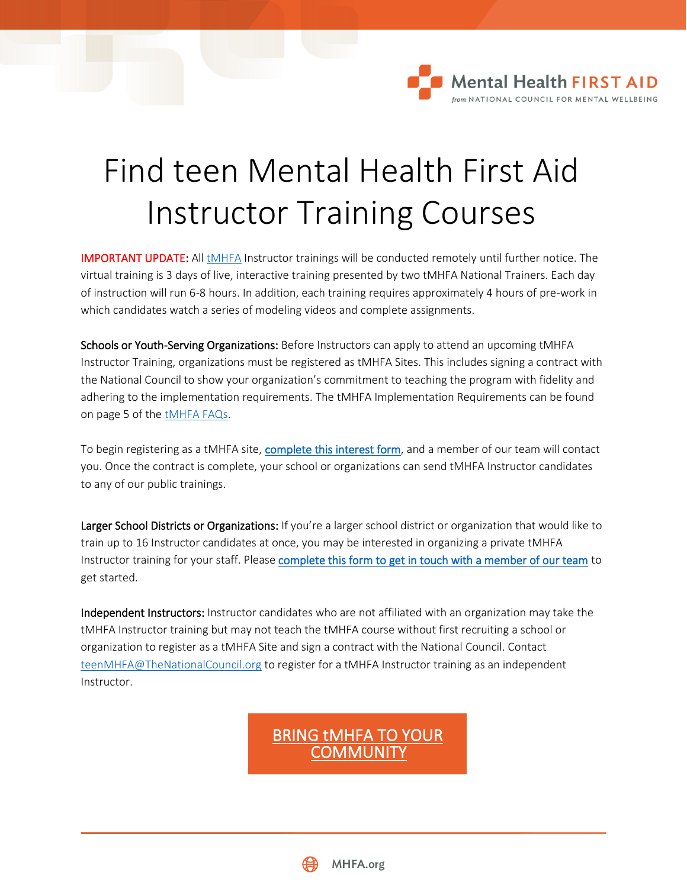## Find teen Mental Health First Aid Instructor Training Courses

**Mental Health FIRST AID** from NATIONAL COUNCIL FOR MENTAL WELLBEING

IMPORTANT UPDATE: All [tMHFA](http://www.mhfa.org/teens) Instructor trainings will be conducted remotely until further notice. The virtual training is 3 days of live, interactive training presented by two tMHFA National Trainers. Each day of instruction will run 6-8 hours. In addition, each training requires approximately 4 hours of pre-work in which candidates watch a series of modeling videos and complete assignments.

Schools or Youth-Serving Organizations: Before Instructors can apply to attend an upcoming tMHFA Instructor Training, organizations must be registered as tMHFA Sites. This includes signing a contract with the National Council to show your organization's commitment to teaching the program with fidelity and adhering to the implementation requirements. The tMHFA Implementation Requirements can be found on page 5 of th[e tMHFA FAQs.](https://www.mentalhealthfirstaid.org/wp-content/uploads/2021/10/tMHFA-FAQs_10.2021.pdf)

To begin registering as a tMHFA site, [complete this interest form,](http://www.mentalhealthfirstaid.org/become-an-instructor/applying-to-teen-mental-health-first-aid-information-and-resources/tmhfa-interest-form/) and a member of our team will contact you. Once the contract is complete, your school or organizations can send tMHFA Instructor candidates to any of our public trainings.

Larger School Districts or Organizations: If you're a larger school district or organization that would like to train up to 16 Instructor candidates at once, you may be interested in organizing a private tMHFA Instructor training for your staff. Please [complete this form to get in touch with a member of our team](http://www.mentalhealthfirstaid.org/become-an-instructor/applying-to-teen-mental-health-first-aid-information-and-resources/tmhfa-interest-form/) to get started.

Independent Instructors: Instructor candidates who are not affiliated with an organization may take the tMHFA Instructor training but may not teach the tMHFA course without first recruiting a school or organization to register as a tMHFA Site and sign a contract with the National Council. Contact [teenMHFA@TheNationalCouncil.org](mailto:teenMHFA@TheNationalCouncil.org) to register for a tMHFA Instructor training as an independent Instructor.

> [BRING tMHFA TO YOUR](https://www.mentalhealthfirstaid.org/become-an-instructor/applying-to-teen-mental-health-first-aid-information-and-resources/bring-tmhfa-to-teens-in-your-community/)  **COMMUNITY**

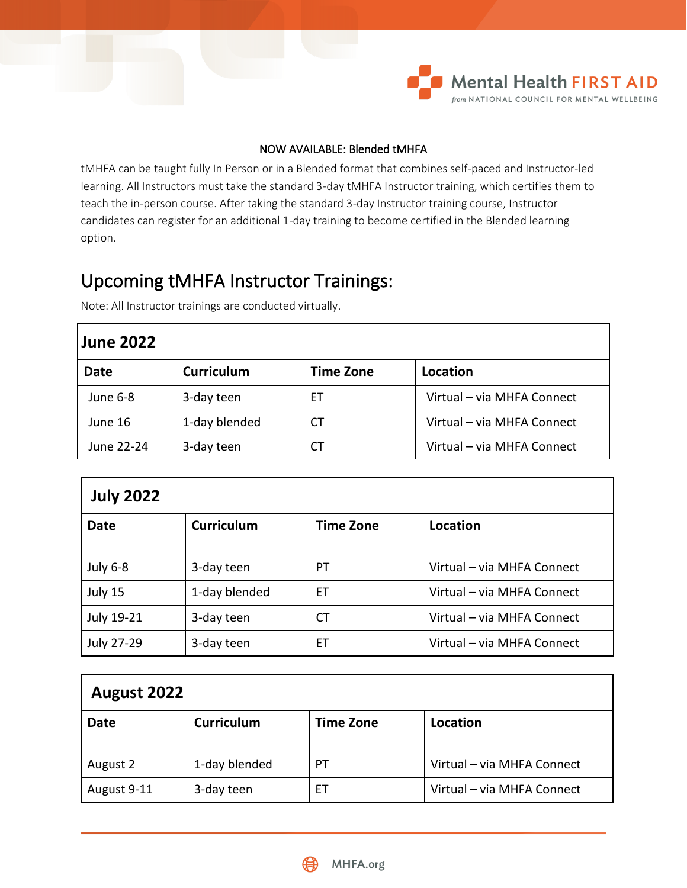

## NOW AVAILABLE: Blended tMHFA

tMHFA can be taught fully In Person or in a Blended format that combines self-paced and Instructor-led learning. All Instructors must take the standard 3-day tMHFA Instructor training, which certifies them to teach the in-person course. After taking the standard 3-day Instructor training course, Instructor candidates can register for an additional 1-day training to become certified in the Blended learning option.

## Upcoming tMHFA Instructor Trainings:

| <b>June 2022</b> |                   |                  |                            |  |  |
|------------------|-------------------|------------------|----------------------------|--|--|
| <b>Date</b>      | <b>Curriculum</b> | <b>Time Zone</b> | Location                   |  |  |
| June 6-8         | 3-day teen        | EТ               | Virtual - via MHFA Connect |  |  |
| June 16          | 1-day blended     | СT               | Virtual - via MHFA Connect |  |  |
| June 22-24       | 3-day teen        | СT               | Virtual - via MHFA Connect |  |  |

Note: All Instructor trainings are conducted virtually.

| <b>July 2022</b> |                   |                  |                            |  |  |  |
|------------------|-------------------|------------------|----------------------------|--|--|--|
| <b>Date</b>      | <b>Curriculum</b> | <b>Time Zone</b> | Location                   |  |  |  |
| July 6-8         | 3-day teen        | PT               | Virtual - via MHFA Connect |  |  |  |
| July 15          | 1-day blended     | ЕT               | Virtual - via MHFA Connect |  |  |  |
| July 19-21       | 3-day teen        | СT               | Virtual - via MHFA Connect |  |  |  |
| July 27-29       | 3-day teen        | ЕT               | Virtual - via MHFA Connect |  |  |  |

| August 2022 |                   |                  |                            |  |  |
|-------------|-------------------|------------------|----------------------------|--|--|
| <b>Date</b> | <b>Curriculum</b> | <b>Time Zone</b> | Location                   |  |  |
| August 2    | 1-day blended     | PT               | Virtual - via MHFA Connect |  |  |
| August 9-11 | 3-day teen        | ET               | Virtual - via MHFA Connect |  |  |